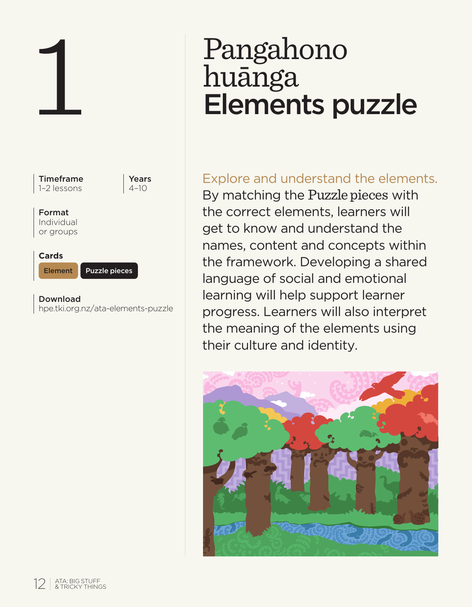

# Pangahono huānga Elements puzzle

# Explore and understand the elements.

By matching the Puzzle pieces with the correct elements, learners will get to know and understand the names, content and concepts within the framework. Developing a shared language of social and emotional learning will help support learner progress. Learners will also interpret the meaning of the elements using their culture and identity.

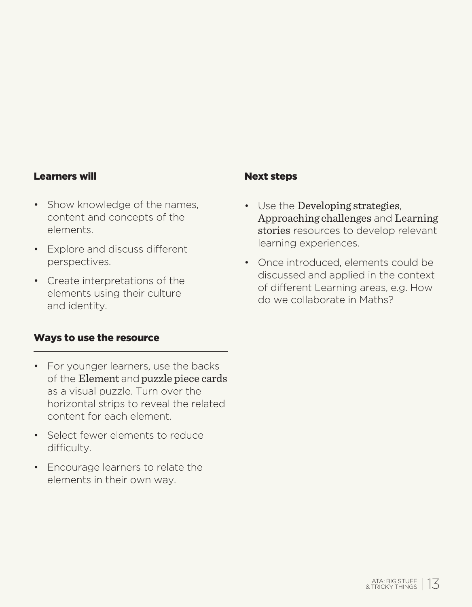#### Learners will not a set of the Next steps

- Show knowledge of the names. content and concepts of the elements.
- Explore and discuss different perspectives.
- Create interpretations of the elements using their culture and identity.

#### Ways to use the resource

- For younger learners, use the backs of the Element and puzzle piece cards as a visual puzzle. Turn over the horizontal strips to reveal the related content for each element.
- Select fewer elements to reduce difficulty.
- Encourage learners to relate the elements in their own way.

- Use the Developing strategies, Approaching challenges and Learning stories resources to develop relevant learning experiences.
- Once introduced, elements could be discussed and applied in the context of different Learning areas, e.g. How do we collaborate in Maths?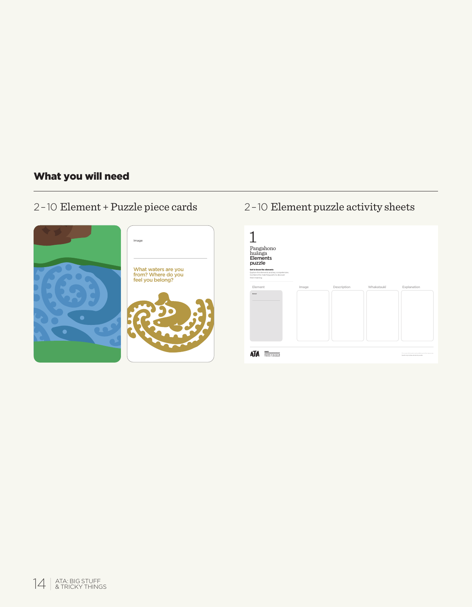# What you will need

# 2–10 Element + Puzzle piece cards



# 2–10 Element puzzle activity sheets